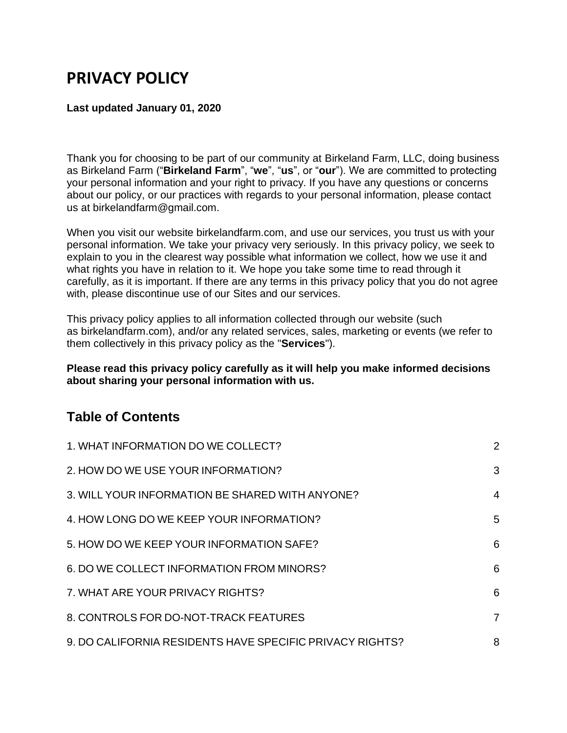# **PRIVACY POLICY**

#### **Last updated January 01, 2020**

Thank you for choosing to be part of our community at Birkeland Farm, LLC, doing business as Birkeland Farm ("**Birkeland Farm**", "**we**", "**us**", or "**our**"). We are committed to protecting your personal information and your right to privacy. If you have any questions or concerns about our policy, or our practices with regards to your personal information, please contact us at birkelandfarm@gmail.com.

When you visit our website birkelandfarm.com, and use our services, you trust us with your personal information. We take your privacy very seriously. In this privacy policy, we seek to explain to you in the clearest way possible what information we collect, how we use it and what rights you have in relation to it. We hope you take some time to read through it carefully, as it is important. If there are any terms in this privacy policy that you do not agree with, please discontinue use of our Sites and our services.

This privacy policy applies to all information collected through our website (such as birkelandfarm.com), and/or any related services, sales, marketing or events (we refer to them collectively in this privacy policy as the "**Services**").

**Please read this privacy policy carefully as it will help you make informed decisions about sharing your personal information with us.**

### **Table of Contents**

| 1. WHAT INFORMATION DO WE COLLECT?                       | $\overline{2}$ |
|----------------------------------------------------------|----------------|
| 2. HOW DO WE USE YOUR INFORMATION?                       | 3              |
| 3. WILL YOUR INFORMATION BE SHARED WITH ANYONE?          | 4              |
| 4. HOW LONG DO WE KEEP YOUR INFORMATION?                 | 5              |
| 5. HOW DO WE KEEP YOUR INFORMATION SAFE?                 | 6              |
| 6. DO WE COLLECT INFORMATION FROM MINORS?                | 6              |
| 7. WHAT ARE YOUR PRIVACY RIGHTS?                         | 6              |
| 8. CONTROLS FOR DO-NOT-TRACK FEATURES                    | $\overline{7}$ |
| 9. DO CALIFORNIA RESIDENTS HAVE SPECIFIC PRIVACY RIGHTS? | 8              |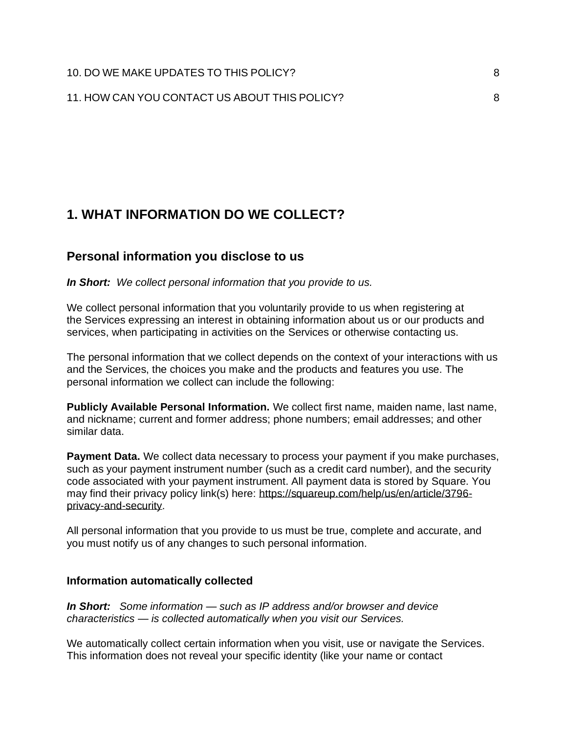### <span id="page-1-0"></span>**1. WHAT INFORMATION DO WE COLLECT?**

#### **Personal information you disclose to us**

*In Short:**We collect personal information that you provide to us.*

We collect personal information that you voluntarily provide to us when registering at the Services expressing an interest in obtaining information about us or our products and services, when participating in activities on the Services or otherwise contacting us.

The personal information that we collect depends on the context of your interactions with us and the Services, the choices you make and the products and features you use. The personal information we collect can include the following:

**Publicly Available Personal Information.** We collect first name, maiden name, last name, and nickname; current and former address; phone numbers; email addresses; and other similar data.

**Payment Data.** We collect data necessary to process your payment if you make purchases, such as your payment instrument number (such as a credit card number), and the security code associated with your payment instrument. All payment data is stored by Square. You may find their privacy policy link(s) here: [https://squareup.com/help/us/en/article/3796](https://squareup.com/help/us/en/article/3796-privacy-and-security) [privacy-and-security.](https://squareup.com/help/us/en/article/3796-privacy-and-security)

All personal information that you provide to us must be true, complete and accurate, and you must notify us of any changes to such personal information.

#### **Information automatically collected**

*In Short: Some information — such as IP address and/or browser and device characteristics — is collected automatically when you visit our Services.*

We automatically collect certain information when you visit, use or navigate the Services. This information does not reveal your specific identity (like your name or contact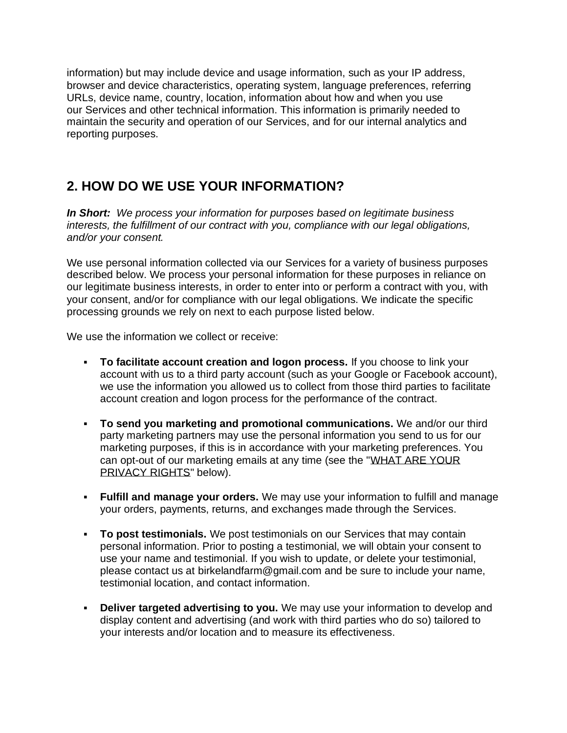information) but may include device and usage information, such as your IP address, browser and device characteristics, operating system, language preferences, referring URLs, device name, country, location, information about how and when you use our Services and other technical information. This information is primarily needed to maintain the security and operation of our Services, and for our internal analytics and reporting purposes.

# <span id="page-2-0"></span>**2. HOW DO WE USE YOUR INFORMATION?**

*In Short: We process your information for purposes based on legitimate business interests, the fulfillment of our contract with you, compliance with our legal obligations, and/or your consent.*

We use personal information collected via our Services for a variety of business purposes described below. We process your personal information for these purposes in reliance on our legitimate business interests, in order to enter into or perform a contract with you, with your consent, and/or for compliance with our legal obligations. We indicate the specific processing grounds we rely on next to each purpose listed below.

We use the information we collect or receive:

- **To facilitate account creation and logon process.** If you choose to link your account with us to a third party account (such as your Google or Facebook account), we use the information you allowed us to collect from those third parties to facilitate account creation and logon process for the performance of the contract.
- **To send you marketing and promotional communications.** We and/or our third party marketing partners may use the personal information you send to us for our marketing purposes, if this is in accordance with your marketing preferences. You can opt-out of our marketing emails at any time (see the ["WHAT ARE YOUR](https://app.termly.io/dashboard/website/388581/privacy-policy#privacyrights)  [PRIVACY RIGHTS"](https://app.termly.io/dashboard/website/388581/privacy-policy#privacyrights) below).
- **Fulfill and manage your orders.** We may use your information to fulfill and manage your orders, payments, returns, and exchanges made through the Services.
- **To post testimonials.** We post testimonials on our Services that may contain personal information. Prior to posting a testimonial, we will obtain your consent to use your name and testimonial. If you wish to update, or delete your testimonial, please contact us at birkelandfarm@gmail.com and be sure to include your name, testimonial location, and contact information.
- **Deliver targeted advertising to you.** We may use your information to develop and display content and advertising (and work with third parties who do so) tailored to your interests and/or location and to measure its effectiveness.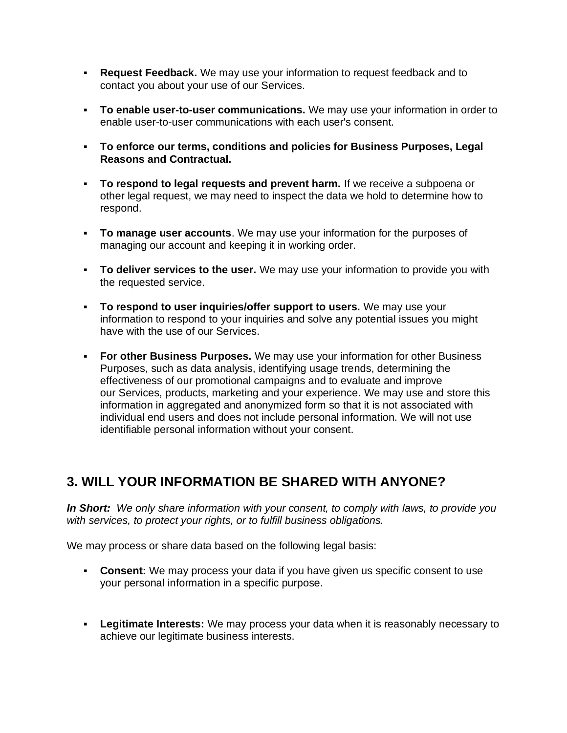- **Request Feedback.** We may use your information to request feedback and to contact you about your use of our Services.
- **To enable user-to-user communications.** We may use your information in order to enable user-to-user communications with each user's consent.
- **To enforce our terms, conditions and policies for Business Purposes, Legal Reasons and Contractual.**
- **To respond to legal requests and prevent harm.** If we receive a subpoena or other legal request, we may need to inspect the data we hold to determine how to respond.
- **To manage user accounts**. We may use your information for the purposes of managing our account and keeping it in working order.
- **To deliver services to the user.** We may use your information to provide you with the requested service.
- **To respond to user inquiries/offer support to users.** We may use your information to respond to your inquiries and solve any potential issues you might have with the use of our Services.
- **For other Business Purposes.** We may use your information for other Business Purposes, such as data analysis, identifying usage trends, determining the effectiveness of our promotional campaigns and to evaluate and improve our Services, products, marketing and your experience. We may use and store this information in aggregated and anonymized form so that it is not associated with individual end users and does not include personal information. We will not use identifiable personal information without your consent.

### <span id="page-3-0"></span>**3. WILL YOUR INFORMATION BE SHARED WITH ANYONE?**

*In Short: We only share information with your consent, to comply with laws, to provide you with services, to protect your rights, or to fulfill business obligations.*

We may process or share data based on the following legal basis:

- **Consent:** We may process your data if you have given us specific consent to use your personal information in a specific purpose.
- **Legitimate Interests:** We may process your data when it is reasonably necessary to achieve our legitimate business interests.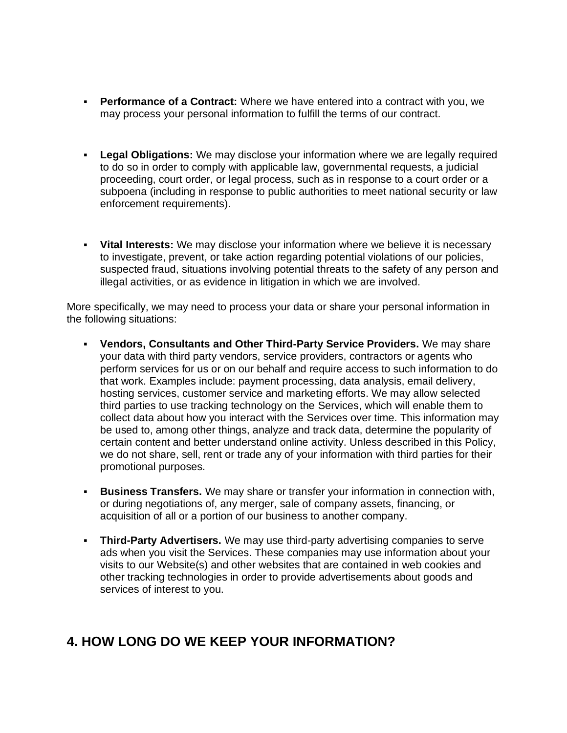- **Performance of a Contract:** Where we have entered into a contract with you, we may process your personal information to fulfill the terms of our contract.
- **Example 20 Legal Obligations:** We may disclose your information where we are legally required to do so in order to comply with applicable law, governmental requests, a judicial proceeding, court order, or legal process, such as in response to a court order or a subpoena (including in response to public authorities to meet national security or law enforcement requirements).
- **Vital Interests:** We may disclose your information where we believe it is necessary to investigate, prevent, or take action regarding potential violations of our policies, suspected fraud, situations involving potential threats to the safety of any person and illegal activities, or as evidence in litigation in which we are involved.

More specifically, we may need to process your data or share your personal information in the following situations:

- **Vendors, Consultants and Other Third-Party Service Providers.** We may share your data with third party vendors, service providers, contractors or agents who perform services for us or on our behalf and require access to such information to do that work. Examples include: payment processing, data analysis, email delivery, hosting services, customer service and marketing efforts. We may allow selected third parties to use tracking technology on the Services, which will enable them to collect data about how you interact with the Services over time. This information may be used to, among other things, analyze and track data, determine the popularity of certain content and better understand online activity. Unless described in this Policy, we do not share, sell, rent or trade any of your information with third parties for their promotional purposes.
- **EUSINESS Transfers.** We may share or transfer your information in connection with, or during negotiations of, any merger, sale of company assets, financing, or acquisition of all or a portion of our business to another company.
- **Third-Party Advertisers.** We may use third-party advertising companies to serve ads when you visit the Services. These companies may use information about your visits to our Website(s) and other websites that are contained in web cookies and other tracking technologies in order to provide advertisements about goods and services of interest to you.

#### <span id="page-4-0"></span>**4. HOW LONG DO WE KEEP YOUR INFORMATION?**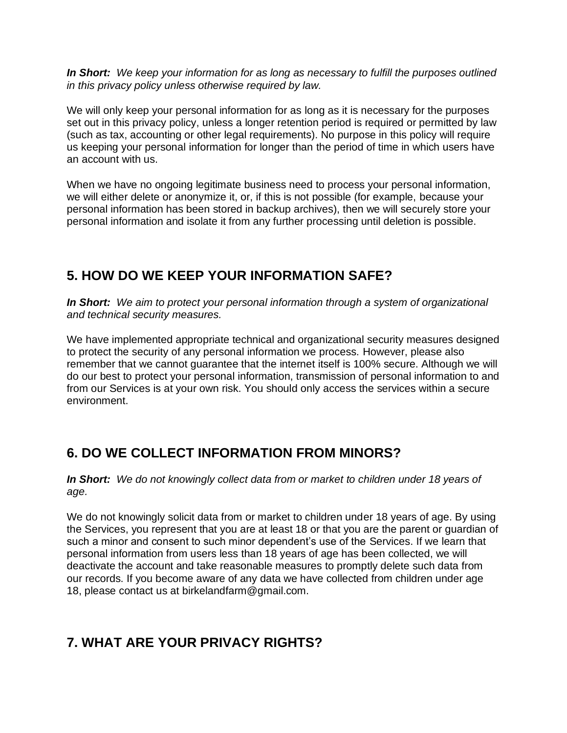*In Short: We keep your information for as long as necessary to fulfill the purposes outlined in this privacy policy unless otherwise required by law.*

We will only keep your personal information for as long as it is necessary for the purposes set out in this privacy policy, unless a longer retention period is required or permitted by law (such as tax, accounting or other legal requirements). No purpose in this policy will require us keeping your personal information for longer than the period of time in which users have an account with us.

When we have no ongoing legitimate business need to process your personal information, we will either delete or anonymize it, or, if this is not possible (for example, because your personal information has been stored in backup archives), then we will securely store your personal information and isolate it from any further processing until deletion is possible.

### <span id="page-5-0"></span>**5. HOW DO WE KEEP YOUR INFORMATION SAFE?**

*In Short: We aim to protect your personal information through a system of organizational and technical security measures.*

We have implemented appropriate technical and organizational security measures designed to protect the security of any personal information we process. However, please also remember that we cannot guarantee that the internet itself is 100% secure. Although we will do our best to protect your personal information, transmission of personal information to and from our Services is at your own risk. You should only access the services within a secure environment.

# <span id="page-5-1"></span>**6. DO WE COLLECT INFORMATION FROM MINORS?**

*In Short: We do not knowingly collect data from or market to children under 18 years of age.*

We do not knowingly solicit data from or market to children under 18 years of age. By using the Services, you represent that you are at least 18 or that you are the parent or guardian of such a minor and consent to such minor dependent's use of the Services. If we learn that personal information from users less than 18 years of age has been collected, we will deactivate the account and take reasonable measures to promptly delete such data from our records. If you become aware of any data we have collected from children under age 18, please contact us at birkelandfarm@gmail.com.

# <span id="page-5-2"></span>**7. WHAT ARE YOUR PRIVACY RIGHTS?**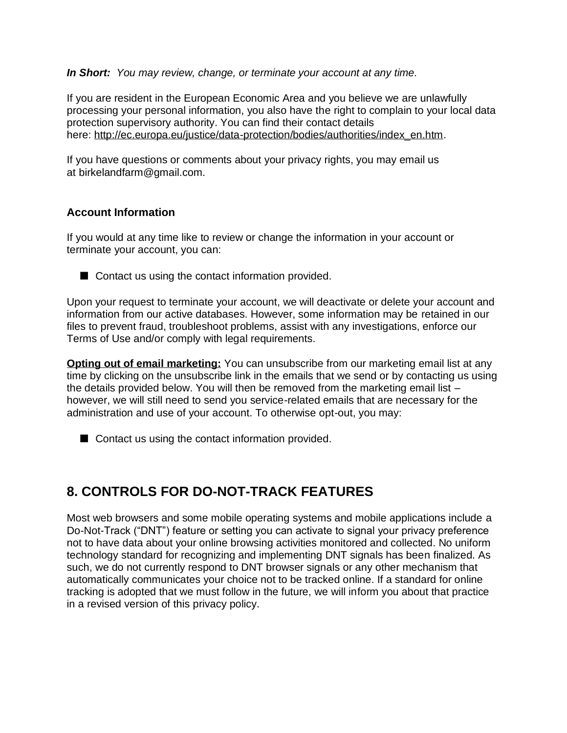#### *In Short: You may review, change, or terminate your account at any time.*

If you are resident in the European Economic Area and you believe we are unlawfully processing your personal information, you also have the right to complain to your local data protection supervisory authority. You can find their contact details here: [http://ec.europa.eu/justice/data-protection/bodies/authorities/index\\_en.htm.](http://ec.europa.eu/justice/data-protection/bodies/authorities/index_en.htm)

If you have questions or comments about your privacy rights, you may email us at birkelandfarm@gmail.com.

#### **Account Information**

If you would at any time like to review or change the information in your account or terminate your account, you can:



Upon your request to terminate your account, we will deactivate or delete your account and information from our active databases. However, some information may be retained in our files to prevent fraud, troubleshoot problems, assist with any investigations, enforce our Terms of Use and/or comply with legal requirements.

**Opting out of email marketing:** You can unsubscribe from our marketing email list at any time by clicking on the unsubscribe link in the emails that we send or by contacting us using the details provided below. You will then be removed from the marketing email list – however, we will still need to send you service-related emails that are necessary for the administration and use of your account. To otherwise opt-out, you may:

■ Contact us using the contact information provided.

# <span id="page-6-0"></span>**8. CONTROLS FOR DO-NOT-TRACK FEATURES**

Most web browsers and some mobile operating systems and mobile applications include a Do-Not-Track ("DNT") feature or setting you can activate to signal your privacy preference not to have data about your online browsing activities monitored and collected. No uniform technology standard for recognizing and implementing DNT signals has been finalized. As such, we do not currently respond to DNT browser signals or any other mechanism that automatically communicates your choice not to be tracked online. If a standard for online tracking is adopted that we must follow in the future, we will inform you about that practice in a revised version of this privacy policy.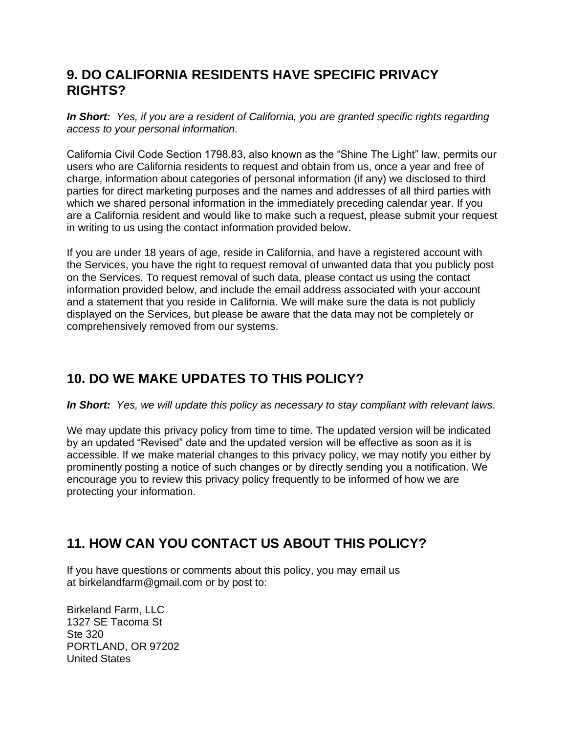### <span id="page-7-0"></span>**9. DO CALIFORNIA RESIDENTS HAVE SPECIFIC PRIVACY RIGHTS?**

*In Short: Yes, if you are a resident of California, you are granted specific rights regarding access to your personal information.*

California Civil Code Section 1798.83, also known as the "Shine The Light" law, permits our users who are California residents to request and obtain from us, once a year and free of charge, information about categories of personal information (if any) we disclosed to third parties for direct marketing purposes and the names and addresses of all third parties with which we shared personal information in the immediately preceding calendar year. If you are a California resident and would like to make such a request, please submit your request in writing to us using the contact information provided below.

If you are under 18 years of age, reside in California, and have a registered account with the Services, you have the right to request removal of unwanted data that you publicly post on the Services. To request removal of such data, please contact us using the contact information provided below, and include the email address associated with your account and a statement that you reside in California. We will make sure the data is not publicly displayed on the Services, but please be aware that the data may not be completely or comprehensively removed from our systems.

# <span id="page-7-1"></span>**10. DO WE MAKE UPDATES TO THIS POLICY?**

*In Short: Yes, we will update this policy as necessary to stay compliant with relevant laws.*

We may update this privacy policy from time to time. The updated version will be indicated by an updated "Revised" date and the updated version will be effective as soon as it is accessible. If we make material changes to this privacy policy, we may notify you either by prominently posting a notice of such changes or by directly sending you a notification. We encourage you to review this privacy policy frequently to be informed of how we are protecting your information.

# <span id="page-7-2"></span>**11. HOW CAN YOU CONTACT US ABOUT THIS POLICY?**

If you have questions or comments about this policy, you may email us at birkelandfarm@gmail.com or by post to:

Birkeland Farm, LLC 1327 SE Tacoma St Ste 320 PORTLAND, OR 97202 United States